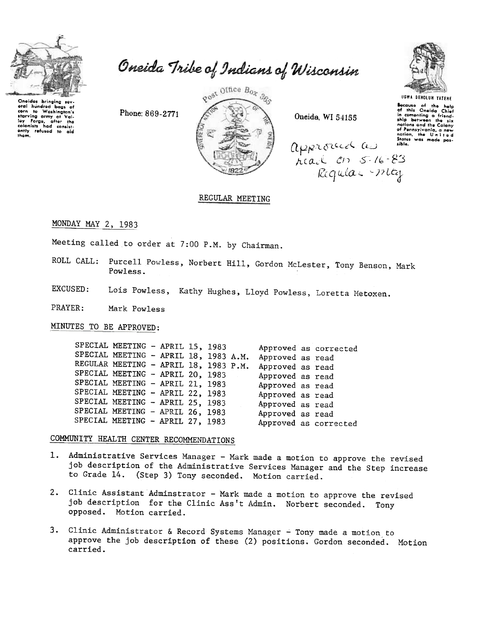

Oneidas brinaina sav Unercus with bags of<br>eral hundred bags of<br>corn to Washington's ora hundred bags of<br>starving army at Yalington's<br>starving army at Yali-<br>colonists had consist-<br>colonists had consist-<br>antly refused to aid<br>them.

Oneida Tribe of Indians of Wisconsin

Post Office Box 365

Oneida, WI 54155



**UGWA BEHOLUN YATEHE** Socause of the help<br>of this Oneida Chief<br>in comenting a friend-<br>ship between the six nations and the Colony of Pennsylvania, a new States was made posapproceded in

# REGULAR MEETING

MONDAY MAY 2, 1983

Meeting called to order at 7:00 P.M. by Chairman.

Phone: 869-2771

- Purcell Powless, Norbert Hill, Gordon McLester, Tony Benson, Mark ROLL CALL: Powless.
- Lois Powless, Kathy Hughes, Lloyd Powless, Loretta Metoxen. EXCUSED:

PRAYER: Mark Powless

MINUTES TO BE APPROVED:

SPECIAL MEETING - APRIL 15, 1983 Approved as corrected SPECIAL MEETING - APRIL 18, 1983 A.M. Approved as read REGULAR MEETING - APRIL 18, 1983 P.M. Approved as read SPECIAL MEETING - APRIL 20, 1983 Approved as read SPECIAL MEETING - APRIL 21, 1983 Approved as read SPECIAL MEETING - APRIL 22, 1983 Approved as read SPECIAL MEETING - APRIL 25, 1983 Approved as read SPECIAL MEETING - APRIL 26, 1983 Approved as read SPECIAL MEETING - APRIL 27, 1983 Approved as corrected

COMMUNITY HEALTH CENTER RECOMMENDATIONS

- Administrative Services Manager Mark made a motion to approve the revised 1. job description of the Administrative Services Manager and the Step increase to Grade 14. (Step 3) Tony seconded. Motion carried.
- 2. Clinic Assistant Adminstrator Mark made a motion to approve the revised job description for the Clinic Ass't Admin. Norbert seconded. Tony opposed. Motion carried.
- 3. Clinic Administrator & Record Systems Manager Tony made a motion to approve the job description of these (2) positions. Gordon seconded. Motion carried.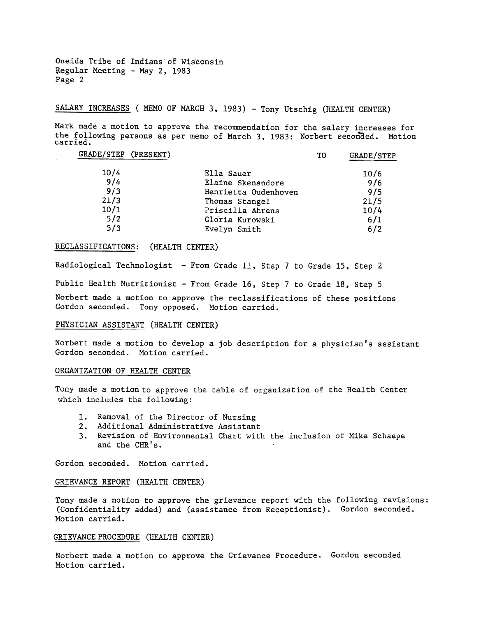Oneida Tribe of Indians of Wisconsin Regular Meeting - May 2, 1983 Page 2

SALARY INCREASES ( MEMO OF MARCH 3, 1983) - Tony Utschig (HEALTH CENTER)

Mark made a motion to approve the recommendation for the salary increases for the following persons as per memo of March 3, 1983: Norbert seconded. Motion carried.

| GRADE/STEP (PRESENT) |                      | TО | GRADE/STEP |
|----------------------|----------------------|----|------------|
| 10/4                 | Ella Sauer           |    | 10/6       |
| 9/4                  | Elaine Skenandore    |    | 9/6        |
| 9/3                  | Henrietta Oudenhoven |    | 9/5        |
| 21/3                 | Thomas Stangel       |    | 21/5       |
| 10/1                 | Priscilla Ahrens     |    | 10/4       |
| 5/2                  | Gloria Kurowski      |    | 6/1        |
| 5/3                  | Evelyn Smith         |    | 6/2        |
|                      |                      |    |            |

# RECLASSIFICATIONS: (HEALTH CENTER)

Radiological Technologist - From Grade 11, Step 7 to Grade 15, Step 2

Public Health Nutritionist -From Grade 16, Step 7 to Grade 18, Step 5

Norbert made a motion to approve the reclassifications of these positions Gordon seconded. Tony opposed. Motion carried.

#### PHYSICIAN ASSISTANT (HEALTH CENTER)

Norbert made a motion to develop a job description for a physician's assistant Gordon seconded. Motion carried.

### ORGANIZATION OF HEALTH CENTER

Tony made a motion to approve the table of organization of the Health Center which includes the following:

- 1. Removal of the Director of Nursin
- 2. Additional Administrative Assista
- 3. Revision of Environmental Chart with the inclusion of Mike Schaepe and the CHR's.

Gordon seconded. Motion carried.

### GRIEVANCE REPORT (HEALTH CENTER)

Tony made a motion to approve the grievance report with the following revisions: (Confidentiality added) and (assistance from Receptionist). Gordon seconded. Motion carried.

# GRIEVANCE PROCEDURE (HEALTH CENTER)

Norbert made a motion to approve the Grievance Procedure. Gordon seconded Motion carried.